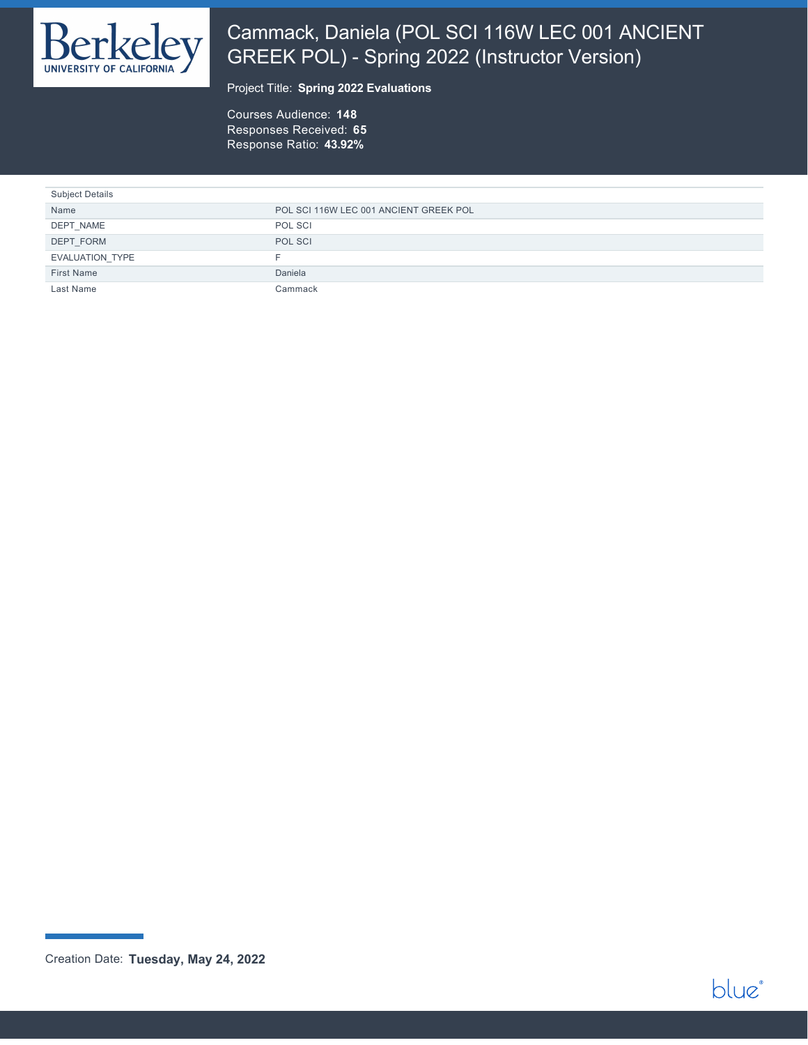

# Cammack, Daniela (POL SCI 116W LEC 001 ANCIENT GREEK POL) - Spring 2022 (Instructor Version)

### Project Title: **Spring 2022 Evaluations**

Courses Audience: **148** Responses Received: **65** Response Ratio: **43.92%**

| <b>Subject Details</b> |                                        |
|------------------------|----------------------------------------|
| Name                   | POL SCI 116W LEC 001 ANCIENT GREEK POL |
| DEPT NAME              | POL SCI                                |
| DEPT FORM              | POL SCI                                |
| EVALUATION TYPE        | ⊢.                                     |
| First Name             | Daniela                                |
| Last Name              | Cammack                                |



Creation Date: **Tuesday, May 24, 2022**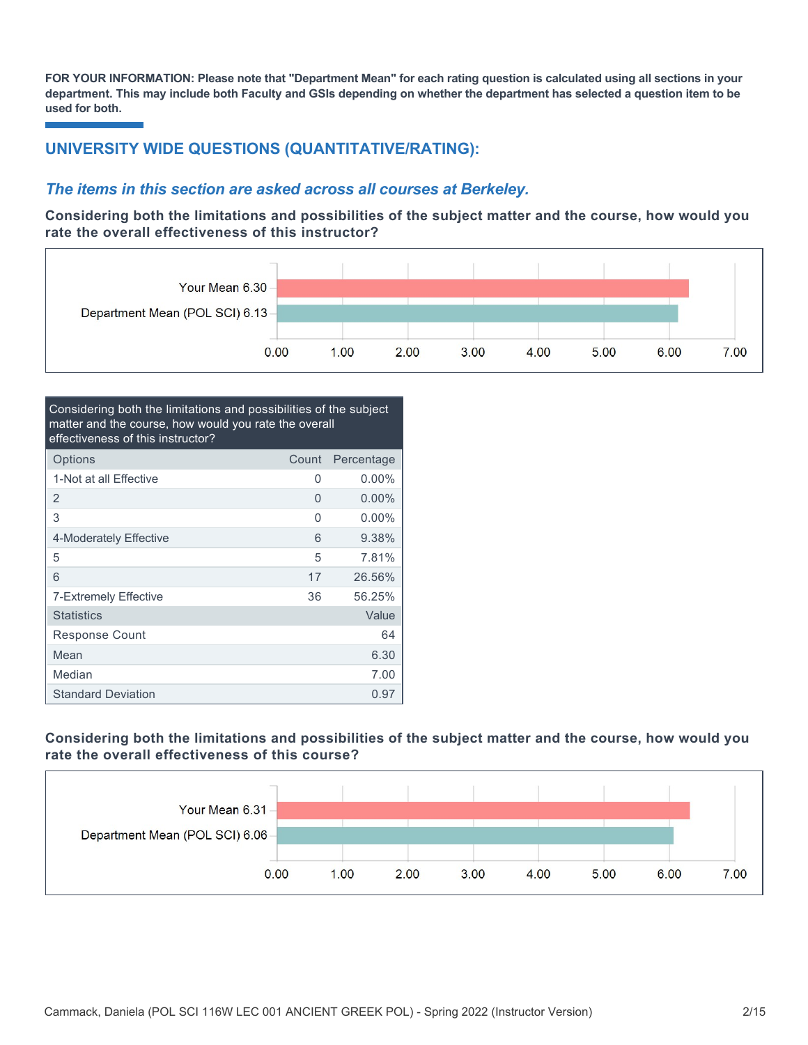**FOR YOUR INFORMATION: Please note that "Department Mean" for each rating question is calculated using all sections in your department. This may include both Faculty and GSIs depending on whether the department has selected a question item to be used for both.**

## **UNIVERSITY WIDE QUESTIONS (QUANTITATIVE/RATING):**

### *The items in this section are asked across all courses at Berkeley.*

**Considering both the limitations and possibilities of the subject matter and the course, how would you rate the overall effectiveness of this instructor?**



| Considering both the limitations and possibilities of the subject<br>matter and the course, how would you rate the overall<br>effectiveness of this instructor? |       |            |  |  |
|-----------------------------------------------------------------------------------------------------------------------------------------------------------------|-------|------------|--|--|
| Options                                                                                                                                                         | Count | Percentage |  |  |
| 1-Not at all Effective                                                                                                                                          | 0     | $0.00\%$   |  |  |
| 2                                                                                                                                                               | 0     | $0.00\%$   |  |  |
| 3                                                                                                                                                               | 0     | $0.00\%$   |  |  |
| 4-Moderately Effective                                                                                                                                          | 6     | 9.38%      |  |  |
| 5                                                                                                                                                               | 5     | 7.81%      |  |  |
| 6                                                                                                                                                               | 17    | 26.56%     |  |  |
| 7-Extremely Effective                                                                                                                                           | 36    | 56.25%     |  |  |
| <b>Statistics</b>                                                                                                                                               |       | Value      |  |  |
| Response Count                                                                                                                                                  |       | 64         |  |  |
| Mean                                                                                                                                                            |       | 6.30       |  |  |
| Median                                                                                                                                                          |       | 7.00       |  |  |
| <b>Standard Deviation</b>                                                                                                                                       |       | 0.97       |  |  |

### **Considering both the limitations and possibilities of the subject matter and the course, how would you rate the overall effectiveness of this course?**

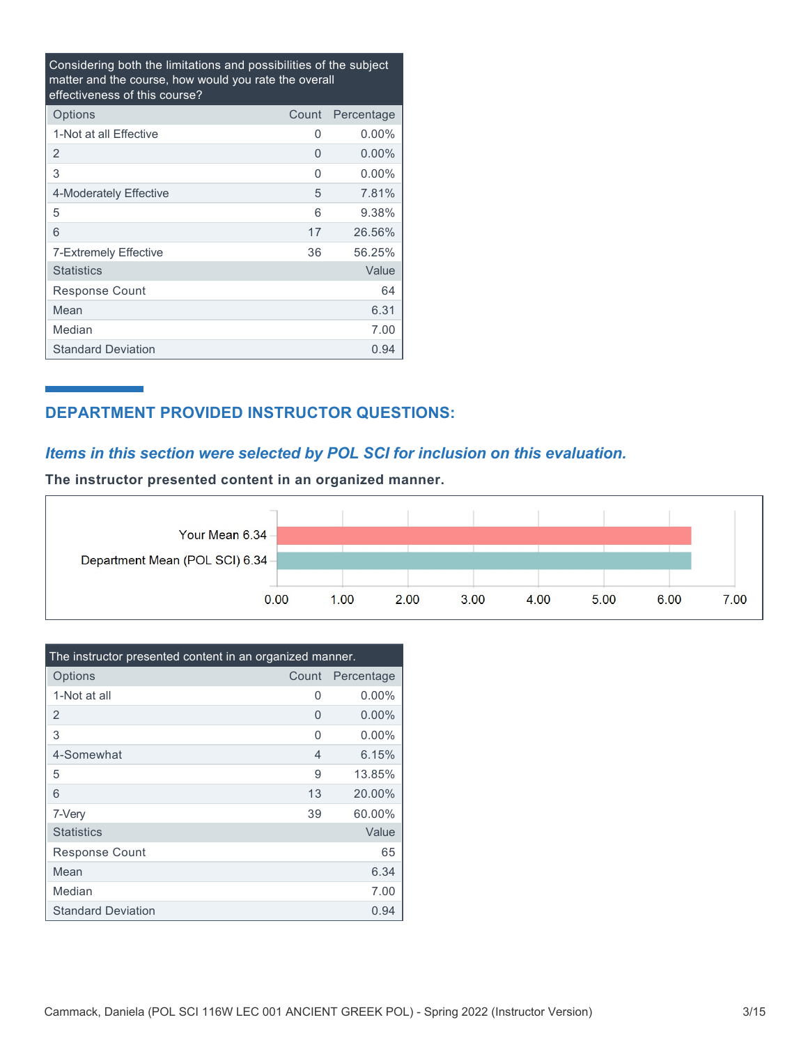Considering both the limitations and possibilities of the subject matter and the course, how would you rate the overall effectiveness of this course?

| Options                   | Count | Percentage |
|---------------------------|-------|------------|
| 1-Not at all Effective    | 0     | $0.00\%$   |
| 2                         | 0     | $0.00\%$   |
| 3                         | 0     | $0.00\%$   |
| 4-Moderately Effective    | 5     | 7.81%      |
| 5                         | 6     | 9.38%      |
| 6                         | 17    | 26.56%     |
| 7-Extremely Effective     | 36    | 56.25%     |
| <b>Statistics</b>         |       | Value      |
| Response Count            |       | 64         |
| Mean                      |       | 6.31       |
| Median                    |       | 7.00       |
| <b>Standard Deviation</b> |       | 0.94       |

## **DEPARTMENT PROVIDED INSTRUCTOR QUESTIONS:**

## *Items in this section were selected by POL SCI for inclusion on this evaluation.*

**The instructor presented content in an organized manner.**



| The instructor presented content in an organized manner. |       |            |  |  |
|----------------------------------------------------------|-------|------------|--|--|
| Options                                                  | Count | Percentage |  |  |
| 1-Not at all                                             | O     | $0.00\%$   |  |  |
| 2                                                        | 0     | $0.00\%$   |  |  |
| 3                                                        | 0     | $0.00\%$   |  |  |
| 4-Somewhat                                               | 4     | 6.15%      |  |  |
| 5                                                        | 9     | 13.85%     |  |  |
| 6                                                        | 13    | 20.00%     |  |  |
| 7-Very                                                   | 39    | 60.00%     |  |  |
| <b>Statistics</b>                                        |       | Value      |  |  |
| <b>Response Count</b>                                    |       | 65         |  |  |
| Mean                                                     |       | 6.34       |  |  |
| Median                                                   |       | 7.00       |  |  |
| <b>Standard Deviation</b>                                |       | 0.94       |  |  |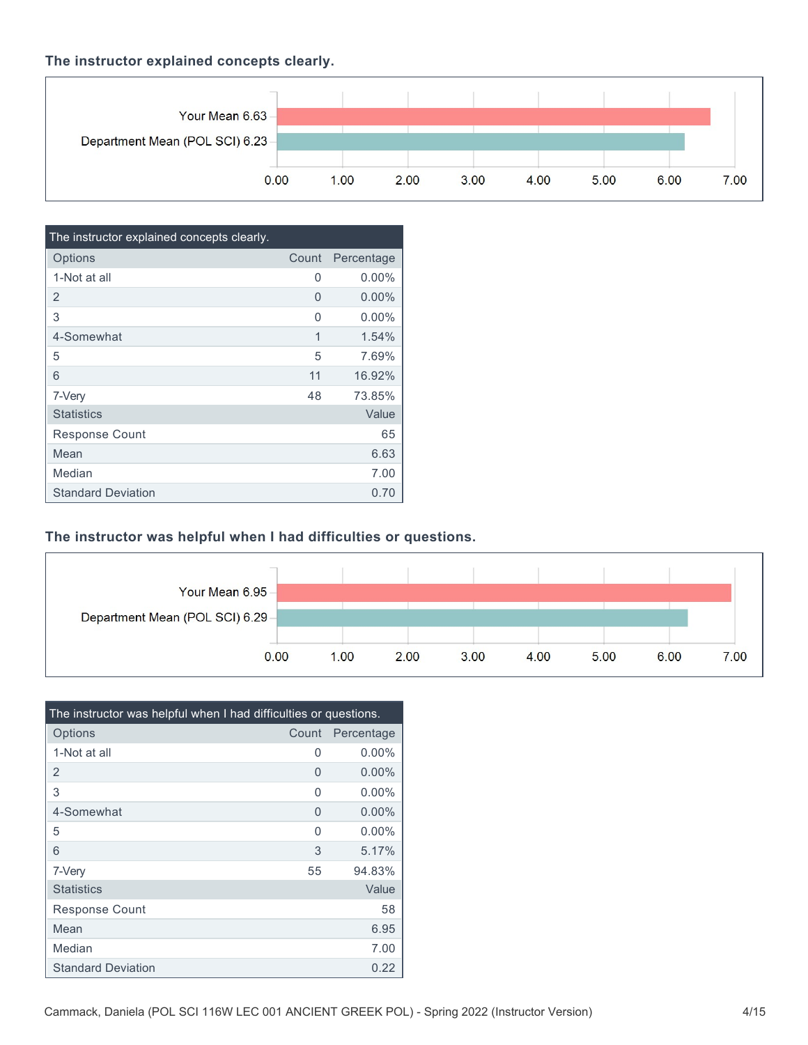### **The instructor explained concepts clearly.**



| The instructor explained concepts clearly. |       |            |
|--------------------------------------------|-------|------------|
| Options                                    | Count | Percentage |
| 1-Not at all                               | 0     | $0.00\%$   |
| $\overline{2}$                             | 0     | $0.00\%$   |
| 3                                          | O     | $0.00\%$   |
| 4-Somewhat                                 | 1     | 1.54%      |
| 5                                          | 5     | 7.69%      |
| 6                                          | 11    | 16.92%     |
| 7-Very                                     | 48    | 73.85%     |
| <b>Statistics</b>                          |       | Value      |
| <b>Response Count</b>                      |       | 65         |
| Mean                                       |       | 6.63       |
| Median                                     |       | 7.00       |
| <b>Standard Deviation</b>                  |       | 0.70       |

### **The instructor was helpful when I had difficulties or questions.**



| The instructor was helpful when I had difficulties or questions. |       |            |  |  |
|------------------------------------------------------------------|-------|------------|--|--|
| Options                                                          | Count | Percentage |  |  |
| 1-Not at all                                                     | 0     | $0.00\%$   |  |  |
| $\overline{2}$                                                   | 0     | $0.00\%$   |  |  |
| 3                                                                | O     | $0.00\%$   |  |  |
| 4-Somewhat                                                       | 0     | $0.00\%$   |  |  |
| 5                                                                | U     | $0.00\%$   |  |  |
| 6                                                                | 3     | 5.17%      |  |  |
| 7-Very                                                           | 55    | 94.83%     |  |  |
| <b>Statistics</b>                                                |       | Value      |  |  |
| <b>Response Count</b>                                            |       | 58         |  |  |
| Mean                                                             |       | 6.95       |  |  |
| Median                                                           |       | 7.00       |  |  |
| <b>Standard Deviation</b>                                        |       | 0.22       |  |  |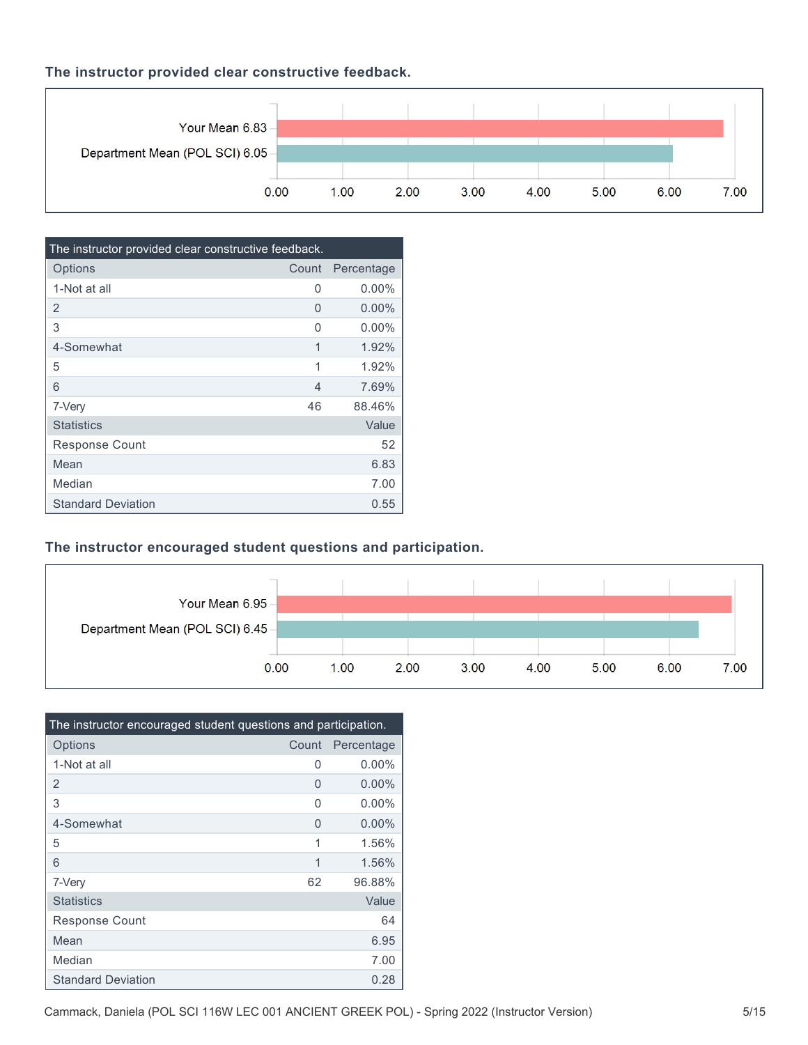### **The instructor provided clear constructive feedback.**



| The instructor provided clear constructive feedback. |       |            |  |  |
|------------------------------------------------------|-------|------------|--|--|
| Options                                              | Count | Percentage |  |  |
| 1-Not at all                                         | 0     | $0.00\%$   |  |  |
| 2                                                    | 0     | $0.00\%$   |  |  |
| 3                                                    | O     | $0.00\%$   |  |  |
| 4-Somewhat                                           | 1     | 1.92%      |  |  |
| 5                                                    | 1     | 1.92%      |  |  |
| 6                                                    | 4     | 7.69%      |  |  |
| 7-Very                                               | 46    | 88.46%     |  |  |
| <b>Statistics</b>                                    |       | Value      |  |  |
| <b>Response Count</b>                                |       | 52         |  |  |
| Mean                                                 |       | 6.83       |  |  |
| Median                                               |       | 7.00       |  |  |
| <b>Standard Deviation</b>                            |       | 0.55       |  |  |

## **The instructor encouraged student questions and participation.**



| The instructor encouraged student questions and participation. |       |            |  |  |
|----------------------------------------------------------------|-------|------------|--|--|
| Options                                                        | Count | Percentage |  |  |
| 1-Not at all                                                   | 0     | $0.00\%$   |  |  |
| $\overline{2}$                                                 | 0     | $0.00\%$   |  |  |
| 3                                                              | O     | $0.00\%$   |  |  |
| 4-Somewhat                                                     | 0     | $0.00\%$   |  |  |
| 5                                                              | 1     | 1.56%      |  |  |
| 6                                                              | 1     | 1.56%      |  |  |
| 7-Very                                                         | 62    | 96.88%     |  |  |
| <b>Statistics</b>                                              |       | Value      |  |  |
| Response Count                                                 |       | 64         |  |  |
| Mean                                                           |       | 6.95       |  |  |
| Median                                                         |       | 7.00       |  |  |
| <b>Standard Deviation</b>                                      |       | 0.28       |  |  |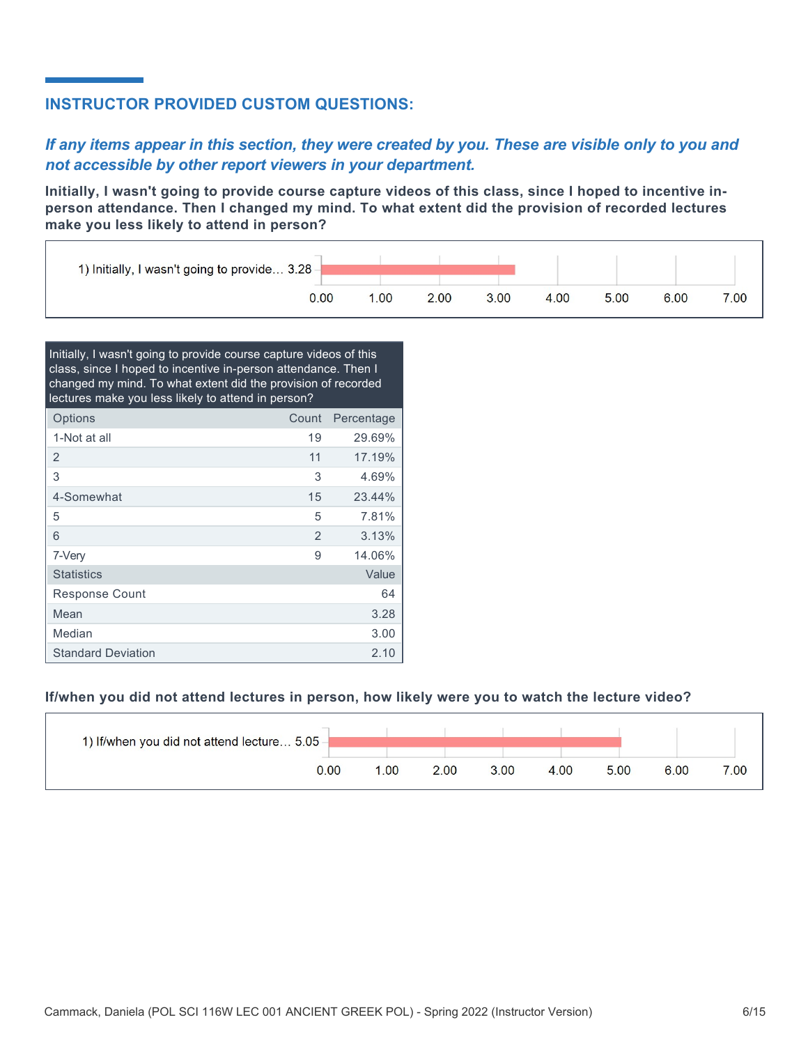## **INSTRUCTOR PROVIDED CUSTOM QUESTIONS:**

## *If any items appear in this section, they were created by you. These are visible only to you and not accessible by other report viewers in your department.*

**Initially, I wasn't going to provide course capture videos of this class, since I hoped to incentive inperson attendance. Then I changed my mind. To what extent did the provision of recorded lectures make you less likely to attend in person?**



| Initially, I wasn't going to provide course capture videos of this<br>class, since I hoped to incentive in-person attendance. Then I<br>changed my mind. To what extent did the provision of recorded<br>lectures make you less likely to attend in person? |                |            |  |  |
|-------------------------------------------------------------------------------------------------------------------------------------------------------------------------------------------------------------------------------------------------------------|----------------|------------|--|--|
| Options                                                                                                                                                                                                                                                     | Count          | Percentage |  |  |
| 1-Not at all                                                                                                                                                                                                                                                | 19             | 29.69%     |  |  |
| 2                                                                                                                                                                                                                                                           | 11             | 17.19%     |  |  |
| 3                                                                                                                                                                                                                                                           | 3              | 4.69%      |  |  |
| 4-Somewhat                                                                                                                                                                                                                                                  | 15             | 23.44%     |  |  |
| 5                                                                                                                                                                                                                                                           | 5              | 7.81%      |  |  |
| 6                                                                                                                                                                                                                                                           | $\overline{2}$ | 3.13%      |  |  |
| 7-Very                                                                                                                                                                                                                                                      | 9              | 14.06%     |  |  |
| <b>Statistics</b>                                                                                                                                                                                                                                           |                | Value      |  |  |
| Response Count                                                                                                                                                                                                                                              |                | 64         |  |  |
| Mean                                                                                                                                                                                                                                                        |                | 3.28       |  |  |
| Median                                                                                                                                                                                                                                                      |                | 3.00       |  |  |
| <b>Standard Deviation</b>                                                                                                                                                                                                                                   |                | 2.10       |  |  |

### **If/when you did not attend lectures in person, how likely were you to watch the lecture video?**

| 1) If/when you did not attend lecture 5.05 - |     |      |      |      |      |      |      |
|----------------------------------------------|-----|------|------|------|------|------|------|
| 0.00                                         | .00 | 2.00 | 3.00 | 4.00 | 5.00 | 6.00 | 7.00 |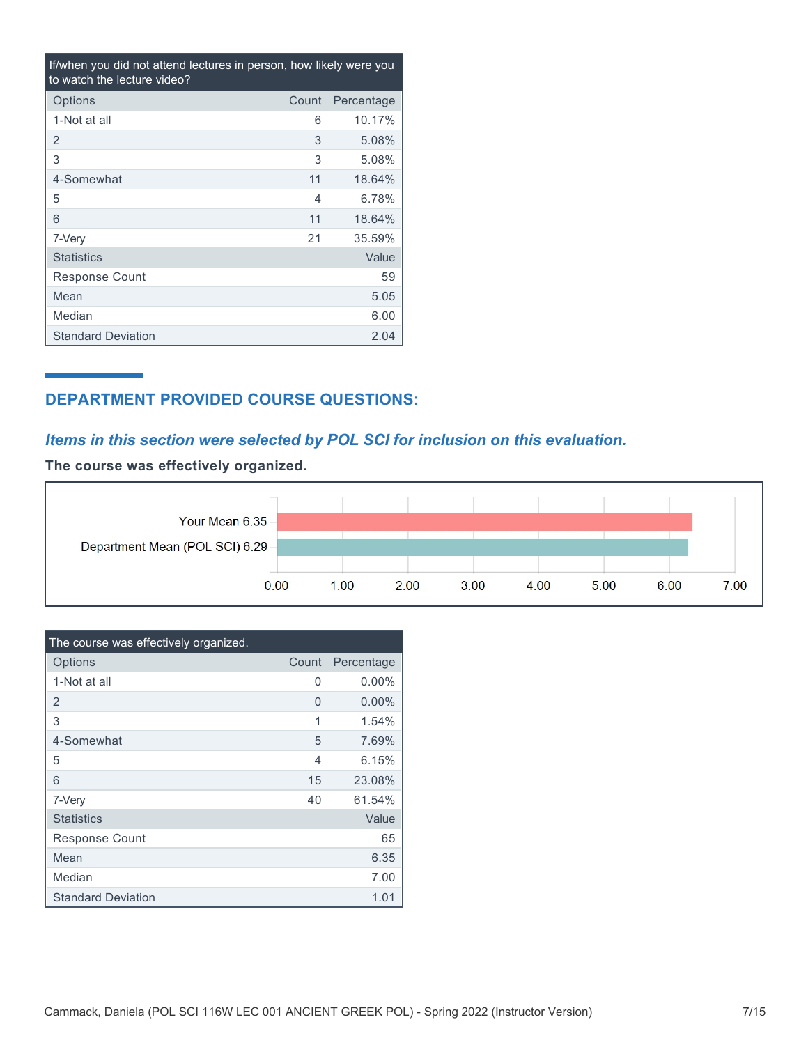| If/when you did not attend lectures in person, how likely were you<br>to watch the lecture video? |       |            |  |  |
|---------------------------------------------------------------------------------------------------|-------|------------|--|--|
| Options                                                                                           | Count | Percentage |  |  |
| 1-Not at all                                                                                      | 6     | 10.17%     |  |  |
| 2                                                                                                 | 3     | 5.08%      |  |  |
| 3                                                                                                 | 3     | 5.08%      |  |  |
| 4-Somewhat                                                                                        | 11    | 18.64%     |  |  |
| 5                                                                                                 | 4     | 6.78%      |  |  |
| 6                                                                                                 | 11    | 18.64%     |  |  |
| 7-Very                                                                                            | 21    | 35.59%     |  |  |
| <b>Statistics</b>                                                                                 |       | Value      |  |  |
| Response Count                                                                                    |       | 59         |  |  |
| Mean                                                                                              |       | 5.05       |  |  |
| Median                                                                                            |       | 6.00       |  |  |
| <b>Standard Deviation</b>                                                                         |       | 2.04       |  |  |

## **DEPARTMENT PROVIDED COURSE QUESTIONS:**

## *Items in this section were selected by POL SCI for inclusion on this evaluation.*

**The course was effectively organized.**



| The course was effectively organized. |                |            |
|---------------------------------------|----------------|------------|
| Options                               | Count          | Percentage |
| 1-Not at all                          | O              | $0.00\%$   |
| 2                                     | 0              | $0.00\%$   |
| 3                                     | 1              | 1.54%      |
| 4-Somewhat                            | 5              | 7.69%      |
| 5                                     | $\overline{4}$ | 6.15%      |
| 6                                     | 15             | 23.08%     |
| 7-Very                                | 40             | 61.54%     |
| <b>Statistics</b>                     |                | Value      |
| Response Count                        |                | 65         |
| Mean                                  |                | 6.35       |
| Median                                |                | 7.00       |
| <b>Standard Deviation</b>             |                | 1.01       |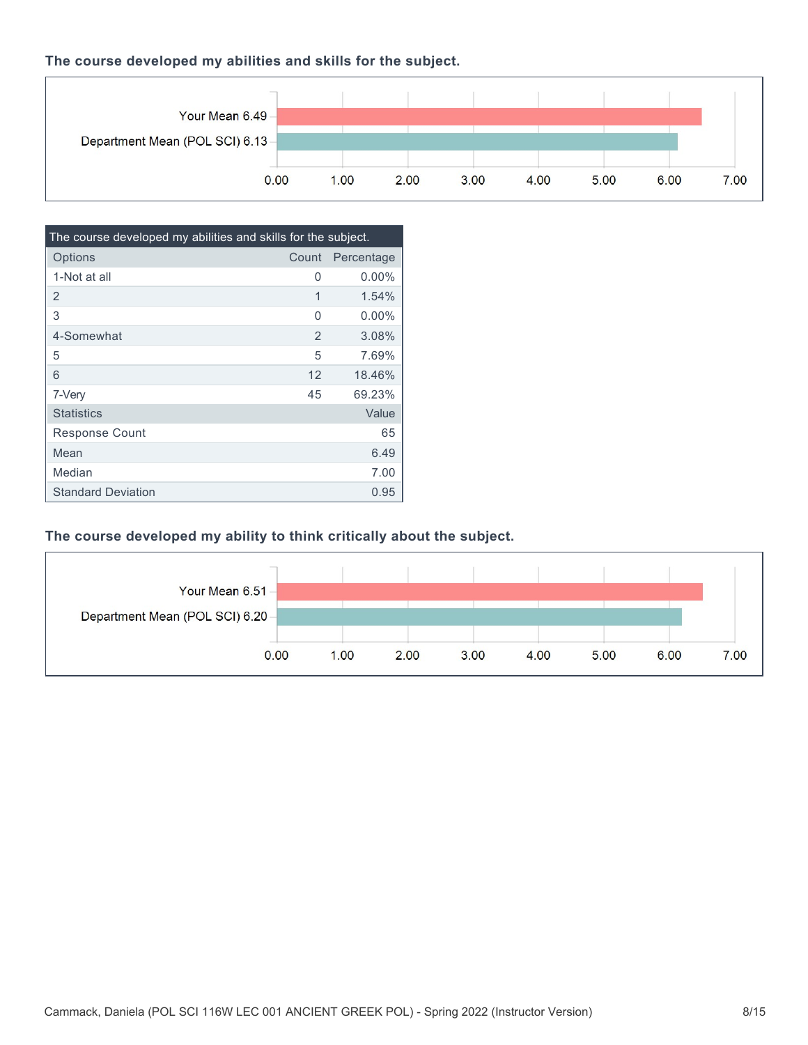### **The course developed my abilities and skills for the subject.**



| The course developed my abilities and skills for the subject. |       |            |  |
|---------------------------------------------------------------|-------|------------|--|
| Options                                                       | Count | Percentage |  |
| 1-Not at all                                                  | 0     | $0.00\%$   |  |
| 2                                                             | 1     | 1.54%      |  |
| 3                                                             | 0     | $0.00\%$   |  |
| 4-Somewhat                                                    | 2     | 3.08%      |  |
| 5                                                             | 5     | 7.69%      |  |
| 6                                                             | 12    | 18.46%     |  |
| 7-Very                                                        | 45    | 69.23%     |  |
| <b>Statistics</b>                                             |       | Value      |  |
| <b>Response Count</b>                                         |       | 65         |  |
| Mean                                                          |       | 6.49       |  |
| Median                                                        |       | 7.00       |  |
| <b>Standard Deviation</b>                                     |       | 0.95       |  |

## **The course developed my ability to think critically about the subject.**

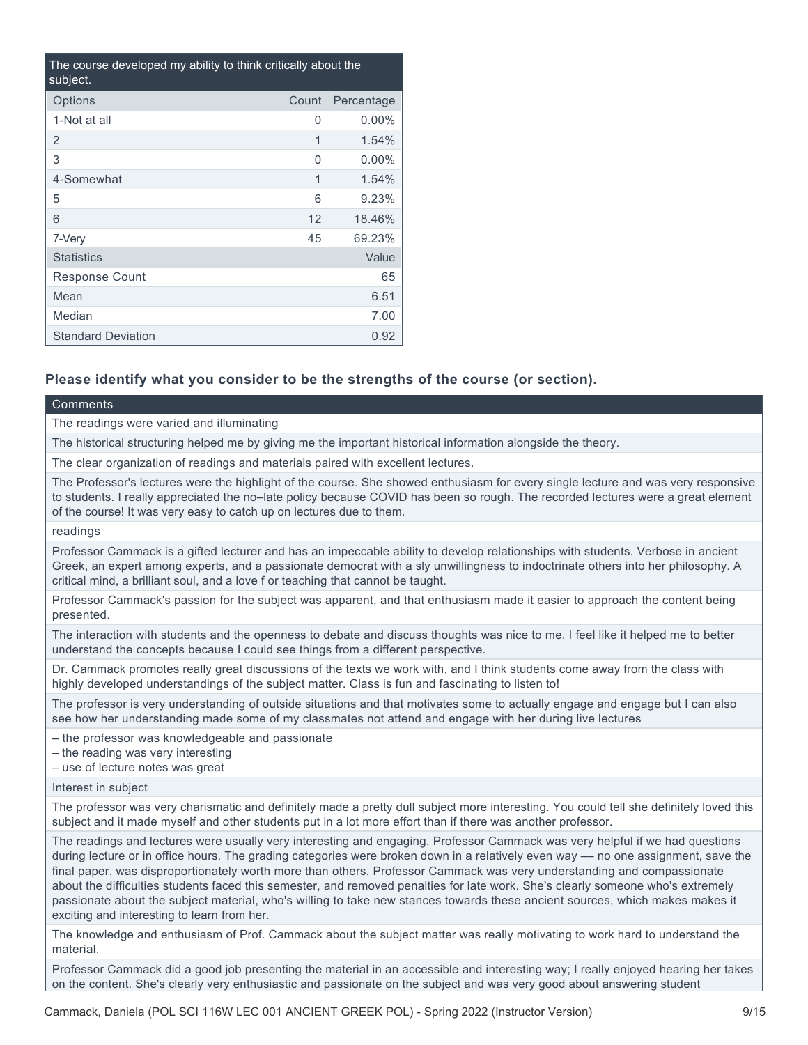| The course developed my ability to think critically about the<br>subject. |          |            |  |
|---------------------------------------------------------------------------|----------|------------|--|
| Options                                                                   | Count    | Percentage |  |
| 1-Not at all                                                              | 0        | $0.00\%$   |  |
| 2                                                                         | 1        | 1.54%      |  |
| 3                                                                         | $\Omega$ | $0.00\%$   |  |
| 4-Somewhat                                                                | 1        | 1.54%      |  |
| 5                                                                         | 6        | 9.23%      |  |
| 6                                                                         | 12       | 18.46%     |  |
| 7-Very                                                                    | 45       | 69.23%     |  |
| <b>Statistics</b>                                                         |          | Value      |  |
| <b>Response Count</b>                                                     |          | 65         |  |
| Mean                                                                      |          | 6.51       |  |
| Median                                                                    |          | 7.00       |  |
| <b>Standard Deviation</b>                                                 |          | 0.92       |  |

### **Please identify what you consider to be the strengths of the course (or section).**

#### Comments

The readings were varied and illuminating

The historical structuring helped me by giving me the important historical information alongside the theory.

The clear organization of readings and materials paired with excellent lectures.

The Professor's lectures were the highlight of the course. She showed enthusiasm for every single lecture and was very responsive to students. I really appreciated the no–late policy because COVID has been so rough. The recorded lectures were a great element of the course! It was very easy to catch up on lectures due to them.

readings

Professor Cammack is a gifted lecturer and has an impeccable ability to develop relationships with students. Verbose in ancient Greek, an expert among experts, and a passionate democrat with a sly unwillingness to indoctrinate others into her philosophy. A critical mind, a brilliant soul, and a love f or teaching that cannot be taught.

Professor Cammack's passion for the subject was apparent, and that enthusiasm made it easier to approach the content being presented.

The interaction with students and the openness to debate and discuss thoughts was nice to me. I feel like it helped me to better understand the concepts because I could see things from a different perspective.

Dr. Cammack promotes really great discussions of the texts we work with, and I think students come away from the class with highly developed understandings of the subject matter. Class is fun and fascinating to listen to!

The professor is very understanding of outside situations and that motivates some to actually engage and engage but I can also see how her understanding made some of my classmates not attend and engage with her during live lectures

– the professor was knowledgeable and passionate

– the reading was very interesting

– use of lecture notes was great

Interest in subject

The professor was very charismatic and definitely made a pretty dull subject more interesting. You could tell she definitely loved this subject and it made myself and other students put in a lot more effort than if there was another professor.

The readings and lectures were usually very interesting and engaging. Professor Cammack was very helpful if we had questions during lecture or in office hours. The grading categories were broken down in a relatively even way — no one assignment, save the final paper, was disproportionately worth more than others. Professor Cammack was very understanding and compassionate about the difficulties students faced this semester, and removed penalties for late work. She's clearly someone who's extremely passionate about the subject material, who's willing to take new stances towards these ancient sources, which makes makes it exciting and interesting to learn from her.

The knowledge and enthusiasm of Prof. Cammack about the subject matter was really motivating to work hard to understand the material.

Professor Cammack did a good job presenting the material in an accessible and interesting way; I really enjoyed hearing her takes on the content. She's clearly very enthusiastic and passionate on the subject and was very good about answering student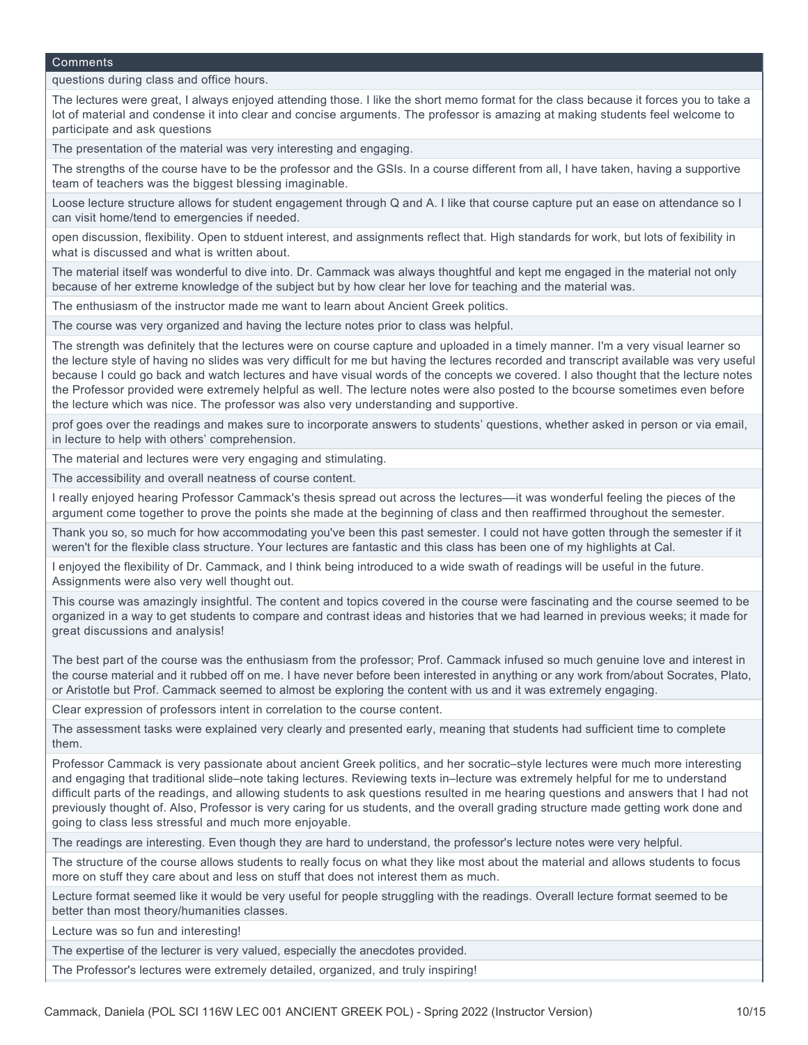questions during class and office hours.

The lectures were great, I always enjoyed attending those. I like the short memo format for the class because it forces you to take a lot of material and condense it into clear and concise arguments. The professor is amazing at making students feel welcome to participate and ask questions

The presentation of the material was very interesting and engaging.

The strengths of the course have to be the professor and the GSIs. In a course different from all, I have taken, having a supportive team of teachers was the biggest blessing imaginable.

Loose lecture structure allows for student engagement through Q and A. I like that course capture put an ease on attendance so I can visit home/tend to emergencies if needed.

open discussion, flexibility. Open to stduent interest, and assignments reflect that. High standards for work, but lots of fexibility in what is discussed and what is written about.

The material itself was wonderful to dive into. Dr. Cammack was always thoughtful and kept me engaged in the material not only because of her extreme knowledge of the subject but by how clear her love for teaching and the material was.

The enthusiasm of the instructor made me want to learn about Ancient Greek politics.

The course was very organized and having the lecture notes prior to class was helpful.

The strength was definitely that the lectures were on course capture and uploaded in a timely manner. I'm a very visual learner so the lecture style of having no slides was very difficult for me but having the lectures recorded and transcript available was very useful because I could go back and watch lectures and have visual words of the concepts we covered. I also thought that the lecture notes the Professor provided were extremely helpful as well. The lecture notes were also posted to the bcourse sometimes even before the lecture which was nice. The professor was also very understanding and supportive.

prof goes over the readings and makes sure to incorporate answers to students' questions, whether asked in person or via email, in lecture to help with others' comprehension.

The material and lectures were very engaging and stimulating.

The accessibility and overall neatness of course content.

I really enjoyed hearing Professor Cammack's thesis spread out across the lectures––it was wonderful feeling the pieces of the argument come together to prove the points she made at the beginning of class and then reaffirmed throughout the semester.

Thank you so, so much for how accommodating you've been this past semester. I could not have gotten through the semester if it weren't for the flexible class structure. Your lectures are fantastic and this class has been one of my highlights at Cal.

I enjoyed the flexibility of Dr. Cammack, and I think being introduced to a wide swath of readings will be useful in the future. Assignments were also very well thought out.

This course was amazingly insightful. The content and topics covered in the course were fascinating and the course seemed to be organized in a way to get students to compare and contrast ideas and histories that we had learned in previous weeks; it made for great discussions and analysis!

The best part of the course was the enthusiasm from the professor; Prof. Cammack infused so much genuine love and interest in the course material and it rubbed off on me. I have never before been interested in anything or any work from/about Socrates, Plato, or Aristotle but Prof. Cammack seemed to almost be exploring the content with us and it was extremely engaging.

Clear expression of professors intent in correlation to the course content.

The assessment tasks were explained very clearly and presented early, meaning that students had sufficient time to complete them.

Professor Cammack is very passionate about ancient Greek politics, and her socratic–style lectures were much more interesting and engaging that traditional slide–note taking lectures. Reviewing texts in–lecture was extremely helpful for me to understand difficult parts of the readings, and allowing students to ask questions resulted in me hearing questions and answers that I had not previously thought of. Also, Professor is very caring for us students, and the overall grading structure made getting work done and going to class less stressful and much more enjoyable.

The readings are interesting. Even though they are hard to understand, the professor's lecture notes were very helpful.

The structure of the course allows students to really focus on what they like most about the material and allows students to focus more on stuff they care about and less on stuff that does not interest them as much.

Lecture format seemed like it would be very useful for people struggling with the readings. Overall lecture format seemed to be better than most theory/humanities classes.

Lecture was so fun and interesting!

The expertise of the lecturer is very valued, especially the anecdotes provided.

The Professor's lectures were extremely detailed, organized, and truly inspiring!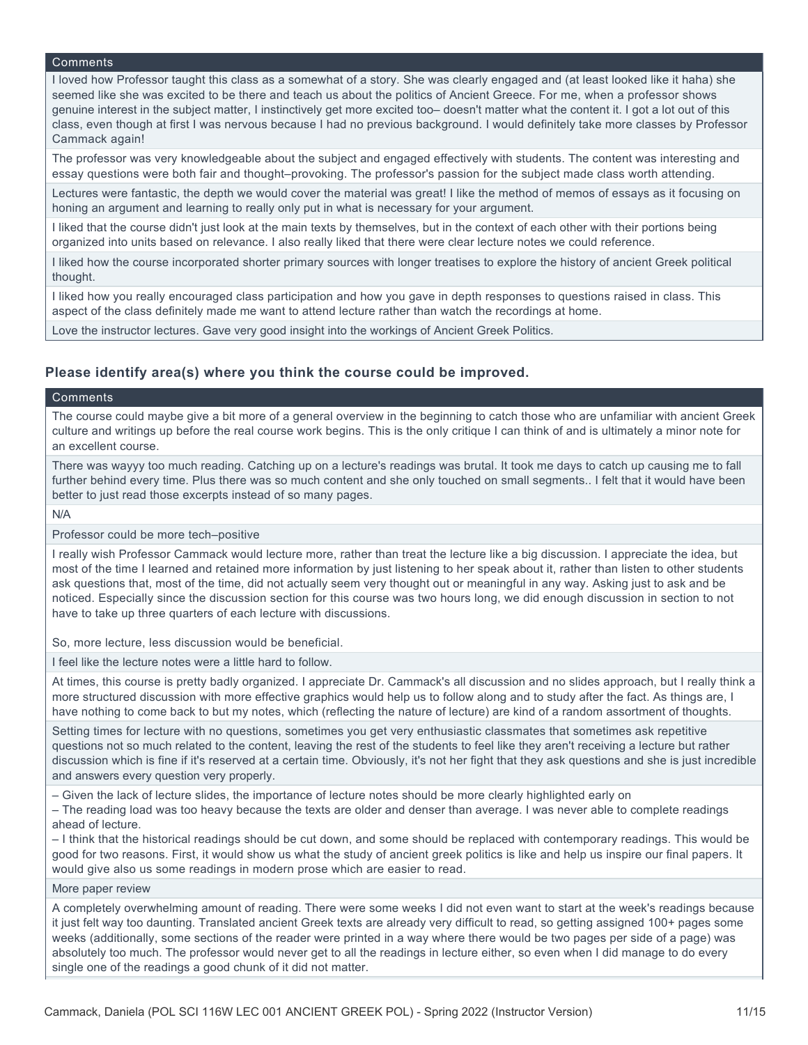I loved how Professor taught this class as a somewhat of a story. She was clearly engaged and (at least looked like it haha) she seemed like she was excited to be there and teach us about the politics of Ancient Greece. For me, when a professor shows genuine interest in the subject matter, I instinctively get more excited too– doesn't matter what the content it. I got a lot out of this class, even though at first I was nervous because I had no previous background. I would definitely take more classes by Professor Cammack again!

The professor was very knowledgeable about the subject and engaged effectively with students. The content was interesting and essay questions were both fair and thought–provoking. The professor's passion for the subject made class worth attending.

Lectures were fantastic, the depth we would cover the material was great! I like the method of memos of essays as it focusing on honing an argument and learning to really only put in what is necessary for your argument.

I liked that the course didn't just look at the main texts by themselves, but in the context of each other with their portions being organized into units based on relevance. I also really liked that there were clear lecture notes we could reference.

I liked how the course incorporated shorter primary sources with longer treatises to explore the history of ancient Greek political thought.

I liked how you really encouraged class participation and how you gave in depth responses to questions raised in class. This aspect of the class definitely made me want to attend lecture rather than watch the recordings at home.

Love the instructor lectures. Gave very good insight into the workings of Ancient Greek Politics.

### **Please identify area(s) where you think the course could be improved.**

#### Comments

The course could maybe give a bit more of a general overview in the beginning to catch those who are unfamiliar with ancient Greek culture and writings up before the real course work begins. This is the only critique I can think of and is ultimately a minor note for an excellent course.

There was wayyy too much reading. Catching up on a lecture's readings was brutal. It took me days to catch up causing me to fall further behind every time. Plus there was so much content and she only touched on small segments.. I felt that it would have been better to just read those excerpts instead of so many pages.

N/A

#### Professor could be more tech–positive

I really wish Professor Cammack would lecture more, rather than treat the lecture like a big discussion. I appreciate the idea, but most of the time I learned and retained more information by just listening to her speak about it, rather than listen to other students ask questions that, most of the time, did not actually seem very thought out or meaningful in any way. Asking just to ask and be noticed. Especially since the discussion section for this course was two hours long, we did enough discussion in section to not have to take up three quarters of each lecture with discussions.

So, more lecture, less discussion would be beneficial.

I feel like the lecture notes were a little hard to follow.

At times, this course is pretty badly organized. I appreciate Dr. Cammack's all discussion and no slides approach, but I really think a more structured discussion with more effective graphics would help us to follow along and to study after the fact. As things are, I have nothing to come back to but my notes, which (reflecting the nature of lecture) are kind of a random assortment of thoughts.

Setting times for lecture with no questions, sometimes you get very enthusiastic classmates that sometimes ask repetitive questions not so much related to the content, leaving the rest of the students to feel like they aren't receiving a lecture but rather discussion which is fine if it's reserved at a certain time. Obviously, it's not her fight that they ask questions and she is just incredible and answers every question very properly.

– Given the lack of lecture slides, the importance of lecture notes should be more clearly highlighted early on

– The reading load was too heavy because the texts are older and denser than average. I was never able to complete readings ahead of lecture.

– I think that the historical readings should be cut down, and some should be replaced with contemporary readings. This would be good for two reasons. First, it would show us what the study of ancient greek politics is like and help us inspire our final papers. It would give also us some readings in modern prose which are easier to read.

#### More paper review

A completely overwhelming amount of reading. There were some weeks I did not even want to start at the week's readings because it just felt way too daunting. Translated ancient Greek texts are already very difficult to read, so getting assigned 100+ pages some weeks (additionally, some sections of the reader were printed in a way where there would be two pages per side of a page) was absolutely too much. The professor would never get to all the readings in lecture either, so even when I did manage to do every single one of the readings a good chunk of it did not matter.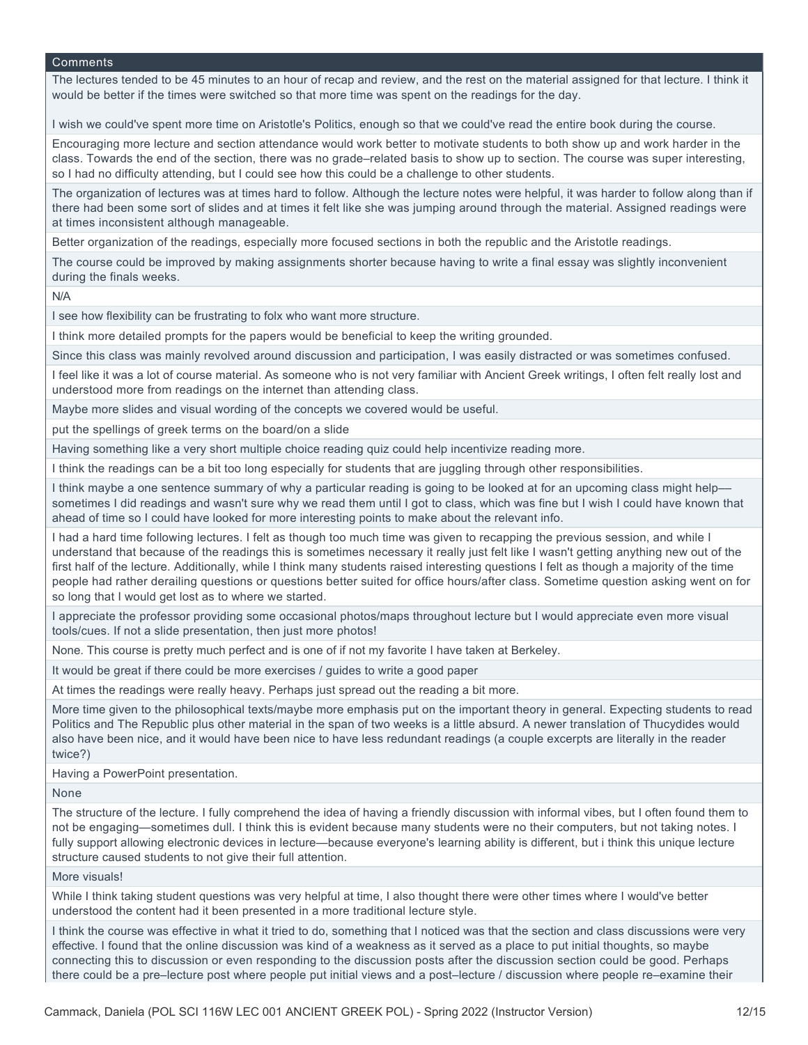The lectures tended to be 45 minutes to an hour of recap and review, and the rest on the material assigned for that lecture. I think it would be better if the times were switched so that more time was spent on the readings for the day.

I wish we could've spent more time on Aristotle's Politics, enough so that we could've read the entire book during the course.

Encouraging more lecture and section attendance would work better to motivate students to both show up and work harder in the class. Towards the end of the section, there was no grade–related basis to show up to section. The course was super interesting, so I had no difficulty attending, but I could see how this could be a challenge to other students.

The organization of lectures was at times hard to follow. Although the lecture notes were helpful, it was harder to follow along than if there had been some sort of slides and at times it felt like she was jumping around through the material. Assigned readings were at times inconsistent although manageable.

Better organization of the readings, especially more focused sections in both the republic and the Aristotle readings.

The course could be improved by making assignments shorter because having to write a final essay was slightly inconvenient during the finals weeks.

N/A

I see how flexibility can be frustrating to folx who want more structure.

I think more detailed prompts for the papers would be beneficial to keep the writing grounded.

Since this class was mainly revolved around discussion and participation, I was easily distracted or was sometimes confused.

I feel like it was a lot of course material. As someone who is not very familiar with Ancient Greek writings, I often felt really lost and understood more from readings on the internet than attending class.

Maybe more slides and visual wording of the concepts we covered would be useful.

put the spellings of greek terms on the board/on a slide

Having something like a very short multiple choice reading quiz could help incentivize reading more.

I think the readings can be a bit too long especially for students that are juggling through other responsibilities.

I think maybe a one sentence summary of why a particular reading is going to be looked at for an upcoming class might help–– sometimes I did readings and wasn't sure why we read them until I got to class, which was fine but I wish I could have known that ahead of time so I could have looked for more interesting points to make about the relevant info.

I had a hard time following lectures. I felt as though too much time was given to recapping the previous session, and while I understand that because of the readings this is sometimes necessary it really just felt like I wasn't getting anything new out of the first half of the lecture. Additionally, while I think many students raised interesting questions I felt as though a majority of the time people had rather derailing questions or questions better suited for office hours/after class. Sometime question asking went on for so long that I would get lost as to where we started.

I appreciate the professor providing some occasional photos/maps throughout lecture but I would appreciate even more visual tools/cues. If not a slide presentation, then just more photos!

None. This course is pretty much perfect and is one of if not my favorite I have taken at Berkeley.

It would be great if there could be more exercises / guides to write a good paper

At times the readings were really heavy. Perhaps just spread out the reading a bit more.

More time given to the philosophical texts/maybe more emphasis put on the important theory in general. Expecting students to read Politics and The Republic plus other material in the span of two weeks is a little absurd. A newer translation of Thucydides would also have been nice, and it would have been nice to have less redundant readings (a couple excerpts are literally in the reader twice?)

Having a PowerPoint presentation.

None

The structure of the lecture. I fully comprehend the idea of having a friendly discussion with informal vibes, but I often found them to not be engaging—sometimes dull. I think this is evident because many students were no their computers, but not taking notes. I fully support allowing electronic devices in lecture—because everyone's learning ability is different, but i think this unique lecture structure caused students to not give their full attention.

More visuals!

While I think taking student questions was very helpful at time, I also thought there were other times where I would've better understood the content had it been presented in a more traditional lecture style.

I think the course was effective in what it tried to do, something that I noticed was that the section and class discussions were very effective. I found that the online discussion was kind of a weakness as it served as a place to put initial thoughts, so maybe connecting this to discussion or even responding to the discussion posts after the discussion section could be good. Perhaps there could be a pre–lecture post where people put initial views and a post–lecture / discussion where people re–examine their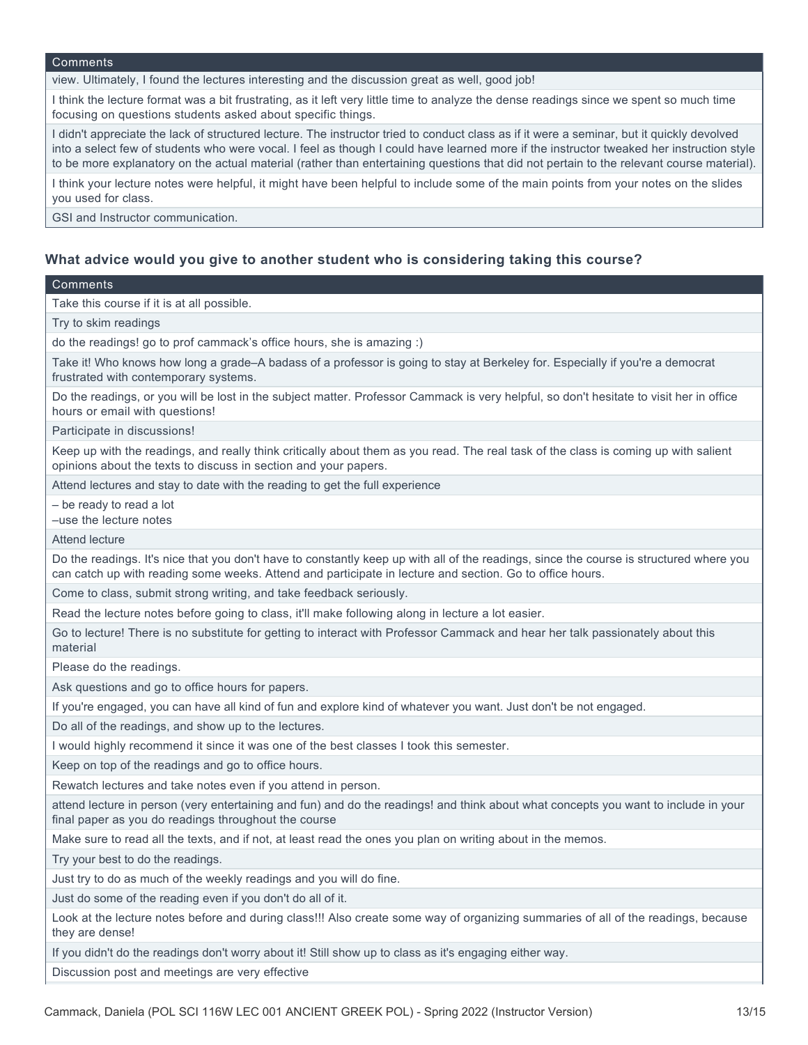view. Ultimately, I found the lectures interesting and the discussion great as well, good job!

I think the lecture format was a bit frustrating, as it left very little time to analyze the dense readings since we spent so much time focusing on questions students asked about specific things.

I didn't appreciate the lack of structured lecture. The instructor tried to conduct class as if it were a seminar, but it quickly devolved into a select few of students who were vocal. I feel as though I could have learned more if the instructor tweaked her instruction style to be more explanatory on the actual material (rather than entertaining questions that did not pertain to the relevant course material).

I think your lecture notes were helpful, it might have been helpful to include some of the main points from your notes on the slides you used for class.

GSI and Instructor communication.

### **What advice would you give to another student who is considering taking this course?**

### **Comments**

Take this course if it is at all possible.

Try to skim readings

do the readings! go to prof cammack's office hours, she is amazing :)

Take it! Who knows how long a grade–A badass of a professor is going to stay at Berkeley for. Especially if you're a democrat frustrated with contemporary systems.

Do the readings, or you will be lost in the subject matter. Professor Cammack is very helpful, so don't hesitate to visit her in office hours or email with questions!

Participate in discussions!

Keep up with the readings, and really think critically about them as you read. The real task of the class is coming up with salient opinions about the texts to discuss in section and your papers.

Attend lectures and stay to date with the reading to get the full experience

– be ready to read a lot

–use the lecture notes

Attend lecture

Do the readings. It's nice that you don't have to constantly keep up with all of the readings, since the course is structured where you can catch up with reading some weeks. Attend and participate in lecture and section. Go to office hours.

Come to class, submit strong writing, and take feedback seriously.

Read the lecture notes before going to class, it'll make following along in lecture a lot easier.

Go to lecture! There is no substitute for getting to interact with Professor Cammack and hear her talk passionately about this material

Please do the readings.

Ask questions and go to office hours for papers.

If you're engaged, you can have all kind of fun and explore kind of whatever you want. Just don't be not engaged.

Do all of the readings, and show up to the lectures.

I would highly recommend it since it was one of the best classes I took this semester.

Keep on top of the readings and go to office hours.

Rewatch lectures and take notes even if you attend in person.

attend lecture in person (very entertaining and fun) and do the readings! and think about what concepts you want to include in your final paper as you do readings throughout the course

Make sure to read all the texts, and if not, at least read the ones you plan on writing about in the memos.

Try your best to do the readings.

Just try to do as much of the weekly readings and you will do fine.

Just do some of the reading even if you don't do all of it.

Look at the lecture notes before and during class!!! Also create some way of organizing summaries of all of the readings, because they are dense!

If you didn't do the readings don't worry about it! Still show up to class as it's engaging either way.

Discussion post and meetings are very effective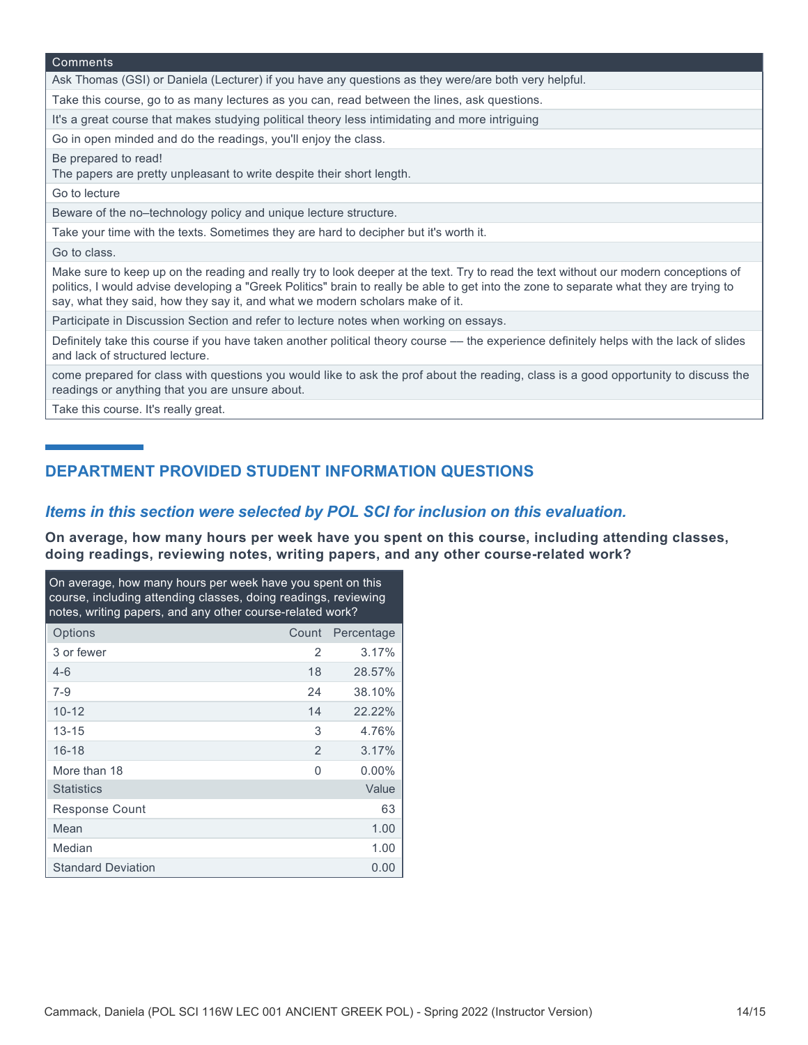| Comments                                                                                                                                                                                                                                                                                                                                                          |
|-------------------------------------------------------------------------------------------------------------------------------------------------------------------------------------------------------------------------------------------------------------------------------------------------------------------------------------------------------------------|
| Ask Thomas (GSI) or Daniela (Lecturer) if you have any questions as they were/are both very helpful.                                                                                                                                                                                                                                                              |
| Take this course, go to as many lectures as you can, read between the lines, ask questions.                                                                                                                                                                                                                                                                       |
| It's a great course that makes studying political theory less intimidating and more intriguing                                                                                                                                                                                                                                                                    |
| Go in open minded and do the readings, you'll enjoy the class.                                                                                                                                                                                                                                                                                                    |
| Be prepared to read!<br>The papers are pretty unpleasant to write despite their short length.                                                                                                                                                                                                                                                                     |
| Go to lecture                                                                                                                                                                                                                                                                                                                                                     |
| Beware of the no-technology policy and unique lecture structure.                                                                                                                                                                                                                                                                                                  |
| Take your time with the texts. Sometimes they are hard to decipher but it's worth it.                                                                                                                                                                                                                                                                             |
| Go to class.                                                                                                                                                                                                                                                                                                                                                      |
| Make sure to keep up on the reading and really try to look deeper at the text. Try to read the text without our modern conceptions of<br>politics, I would advise developing a "Greek Politics" brain to really be able to get into the zone to separate what they are trying to<br>say, what they said, how they say it, and what we modern scholars make of it. |
| Participate in Discussion Section and refer to lecture notes when working on essays.                                                                                                                                                                                                                                                                              |
| Definitely take this course if you have taken another political theory course — the experience definitely helps with the lack of slides<br>and lack of structured lecture.                                                                                                                                                                                        |
| come prepared for class with questions you would like to ask the prof about the reading, class is a good opportunity to discuss the<br>readings or anything that you are unsure about.                                                                                                                                                                            |

Take this course. It's really great.

## **DEPARTMENT PROVIDED STUDENT INFORMATION QUESTIONS**

### *Items in this section were selected by POL SCI for inclusion on this evaluation.*

**On average, how many hours per week have you spent on this course, including attending classes, doing readings, reviewing notes, writing papers, and any other course-related work?**

| On average, how many hours per week have you spent on this<br>course, including attending classes, doing readings, reviewing<br>notes, writing papers, and any other course-related work? |       |            |  |
|-------------------------------------------------------------------------------------------------------------------------------------------------------------------------------------------|-------|------------|--|
| Options                                                                                                                                                                                   | Count | Percentage |  |
| 3 or fewer                                                                                                                                                                                | 2     | 3.17%      |  |
| $4 - 6$                                                                                                                                                                                   | 18    | 28.57%     |  |
| $7-9$                                                                                                                                                                                     | 24    | 38.10%     |  |
| $10 - 12$                                                                                                                                                                                 | 14    | 22.22%     |  |
| $13 - 15$                                                                                                                                                                                 | 3     | 4.76%      |  |
| $16 - 18$                                                                                                                                                                                 | 2     | 3.17%      |  |
| More than 18                                                                                                                                                                              | 0     | $0.00\%$   |  |
| <b>Statistics</b>                                                                                                                                                                         |       | Value      |  |
| Response Count                                                                                                                                                                            |       | 63         |  |
| Mean                                                                                                                                                                                      |       | 1.00       |  |
| Median                                                                                                                                                                                    |       | 1.00       |  |
| <b>Standard Deviation</b>                                                                                                                                                                 |       | 0.00       |  |